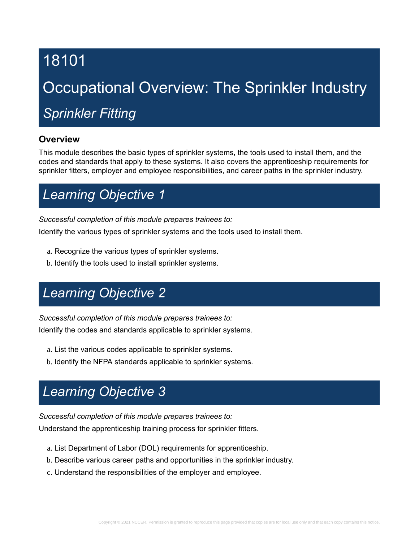# 18101

# Occupational Overview: The Sprinkler Industry

# *Sprinkler Fitting*

### **Overview**

This module describes the basic types of sprinkler systems, the tools used to install them, and the codes and standards that apply to these systems. It also covers the apprenticeship requirements for sprinkler fitters, employer and employee responsibilities, and career paths in the sprinkler industry.

# *Learning Objective 1*

*Successful completion of this module prepares trainees to:*

Identify the various types of sprinkler systems and the tools used to install them.

- a. Recognize the various types of sprinkler systems.
- b. Identify the tools used to install sprinkler systems.

# *Learning Objective 2*

*Successful completion of this module prepares trainees to:* Identify the codes and standards applicable to sprinkler systems.

- a. List the various codes applicable to sprinkler systems.
- b. Identify the NFPA standards applicable to sprinkler systems.

# *Learning Objective 3*

*Successful completion of this module prepares trainees to:*

Understand the apprenticeship training process for sprinkler fitters.

- a. List Department of Labor (DOL) requirements for apprenticeship.
- b. Describe various career paths and opportunities in the sprinkler industry.
- c. Understand the responsibilities of the employer and employee.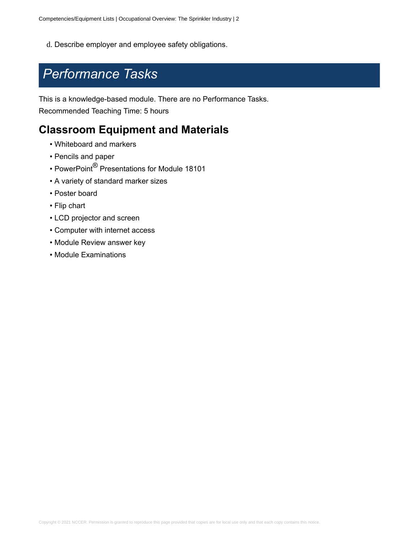d. Describe employer and employee safety obligations.

### *Performance Tasks*

This is a knowledge-based module. There are no Performance Tasks. Recommended Teaching Time: 5 hours

### **Classroom Equipment and Materials**

- Whiteboard and markers
- Pencils and paper
- PowerPoint® Presentations for Module 18101
- A variety of standard marker sizes
- Poster board
- Flip chart
- LCD projector and screen
- Computer with internet access
- Module Review answer key
- Module Examinations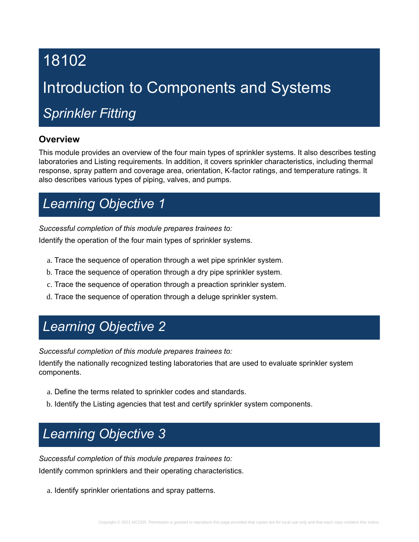# 18102

# Introduction to Components and Systems

# *Sprinkler Fitting*

### **Overview**

This module provides an overview of the four main types of sprinkler systems. It also describes testing laboratories and Listing requirements. In addition, it covers sprinkler characteristics, including thermal response, spray pattern and coverage area, orientation, K-factor ratings, and temperature ratings. It also describes various types of piping, valves, and pumps.

# *Learning Objective 1*

*Successful completion of this module prepares trainees to:*

Identify the operation of the four main types of sprinkler systems.

- a. Trace the sequence of operation through a wet pipe sprinkler system.
- b. Trace the sequence of operation through a dry pipe sprinkler system.
- c. Trace the sequence of operation through a preaction sprinkler system.
- d. Trace the sequence of operation through a deluge sprinkler system.

# *Learning Objective 2*

*Successful completion of this module prepares trainees to:*

Identify the nationally recognized testing laboratories that are used to evaluate sprinkler system components.

- a. Define the terms related to sprinkler codes and standards.
- b. Identify the Listing agencies that test and certify sprinkler system components.

# *Learning Objective 3*

*Successful completion of this module prepares trainees to:*

Identify common sprinklers and their operating characteristics.

a. Identify sprinkler orientations and spray patterns.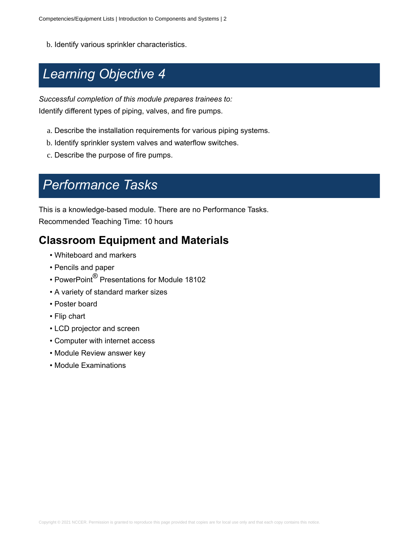b. Identify various sprinkler characteristics.

# *Learning Objective 4*

*Successful completion of this module prepares trainees to:* Identify different types of piping, valves, and fire pumps.

- a. Describe the installation requirements for various piping systems.
- b. Identify sprinkler system valves and waterflow switches.
- c. Describe the purpose of fire pumps.

## *Performance Tasks*

This is a knowledge-based module. There are no Performance Tasks. Recommended Teaching Time: 10 hours

### **Classroom Equipment and Materials**

- Whiteboard and markers
- Pencils and paper
- PowerPoint® Presentations for Module 18102
- A variety of standard marker sizes
- Poster board
- Flip chart
- LCD projector and screen
- Computer with internet access
- Module Review answer key
- Module Examinations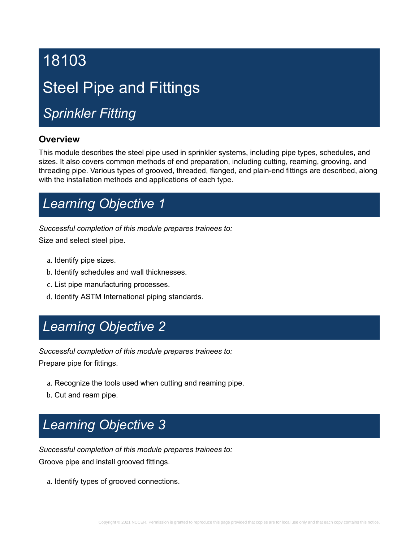# 18103 Steel Pipe and Fittings

# *Sprinkler Fitting*

### **Overview**

This module describes the steel pipe used in sprinkler systems, including pipe types, schedules, and sizes. It also covers common methods of end preparation, including cutting, reaming, grooving, and threading pipe. Various types of grooved, threaded, flanged, and plain-end fittings are described, along with the installation methods and applications of each type.

# *Learning Objective 1*

*Successful completion of this module prepares trainees to:*

Size and select steel pipe.

- a. Identify pipe sizes.
- b. Identify schedules and wall thicknesses.
- c. List pipe manufacturing processes.
- d. Identify ASTM International piping standards.

# *Learning Objective 2*

*Successful completion of this module prepares trainees to:*

Prepare pipe for fittings.

- a. Recognize the tools used when cutting and reaming pipe.
- b. Cut and ream pipe.

# *Learning Objective 3*

*Successful completion of this module prepares trainees to:* Groove pipe and install grooved fittings.

a. Identify types of grooved connections.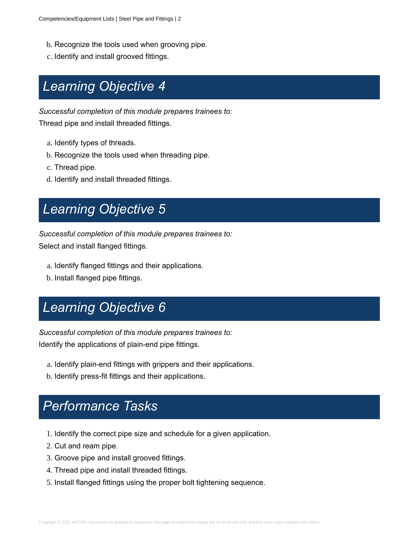- b. Recognize the tools used when grooving pipe.
- c. Identify and install grooved fittings.

## *Learning Objective 4*

*Successful completion of this module prepares trainees to:*

Thread pipe and install threaded fittings.

- a. Identify types of threads.
- b. Recognize the tools used when threading pipe.
- c. Thread pipe.
- d. Identify and install threaded fittings.

# *Learning Objective 5*

*Successful completion of this module prepares trainees to:*

Select and install flanged fittings.

- a. Identify flanged fittings and their applications.
- b. Install flanged pipe fittings.

# *Learning Objective 6*

*Successful completion of this module prepares trainees to:*

Identify the applications of plain-end pipe fittings.

- a. Identify plain-end fittings with grippers and their applications.
- b. Identify press-fit fittings and their applications.

- 1. Identify the correct pipe size and schedule for a given application.
- 2. Cut and ream pipe.
- 3. Groove pipe and install grooved fittings.
- 4. Thread pipe and install threaded fittings.
- 5. Install flanged fittings using the proper bolt tightening sequence.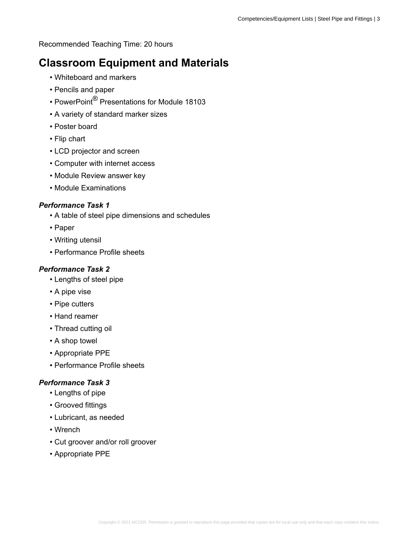Recommended Teaching Time: 20 hours

### **Classroom Equipment and Materials**

- Whiteboard and markers
- Pencils and paper
- PowerPoint® Presentations for Module 18103
- A variety of standard marker sizes
- Poster board
- Flip chart
- LCD projector and screen
- Computer with internet access
- Module Review answer key
- Module Examinations

### *Performance Task 1*

- A table of steel pipe dimensions and schedules
- Paper
- Writing utensil
- Performance Profile sheets

#### *Performance Task 2*

- Lengths of steel pipe
- A pipe vise
- Pipe cutters
- Hand reamer
- Thread cutting oil
- A shop towel
- Appropriate PPE
- Performance Profile sheets

- Lengths of pipe
- Grooved fittings
- Lubricant, as needed
- Wrench
- Cut groover and/or roll groover
- Appropriate PPE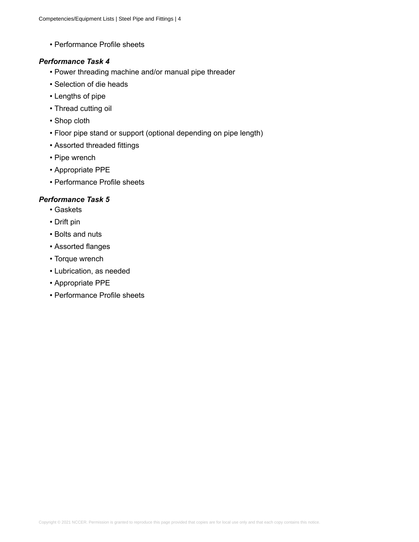• Performance Profile sheets

#### *Performance Task 4*

- Power threading machine and/or manual pipe threader
- Selection of die heads
- Lengths of pipe
- Thread cutting oil
- Shop cloth
- Floor pipe stand or support (optional depending on pipe length)
- Assorted threaded fittings
- Pipe wrench
- Appropriate PPE
- Performance Profile sheets

- Gaskets
- Drift pin
- Bolts and nuts
- Assorted flanges
- Torque wrench
- Lubrication, as needed
- Appropriate PPE
- Performance Profile sheets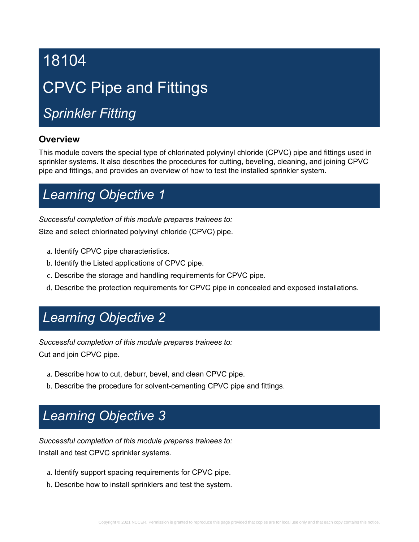# 18104 CPVC Pipe and Fittings

# *Sprinkler Fitting*

### **Overview**

This module covers the special type of chlorinated polyvinyl chloride (CPVC) pipe and fittings used in sprinkler systems. It also describes the procedures for cutting, beveling, cleaning, and joining CPVC pipe and fittings, and provides an overview of how to test the installed sprinkler system.

# *Learning Objective 1*

### *Successful completion of this module prepares trainees to:*

Size and select chlorinated polyvinyl chloride (CPVC) pipe.

- a. Identify CPVC pipe characteristics.
- b. Identify the Listed applications of CPVC pipe.
- c. Describe the storage and handling requirements for CPVC pipe.
- d. Describe the protection requirements for CPVC pipe in concealed and exposed installations.

### *Learning Objective 2*

*Successful completion of this module prepares trainees to:*

Cut and join CPVC pipe.

- a. Describe how to cut, deburr, bevel, and clean CPVC pipe.
- b. Describe the procedure for solvent-cementing CPVC pipe and fittings.

# *Learning Objective 3*

*Successful completion of this module prepares trainees to:* Install and test CPVC sprinkler systems.

- a. Identify support spacing requirements for CPVC pipe.
- b. Describe how to install sprinklers and test the system.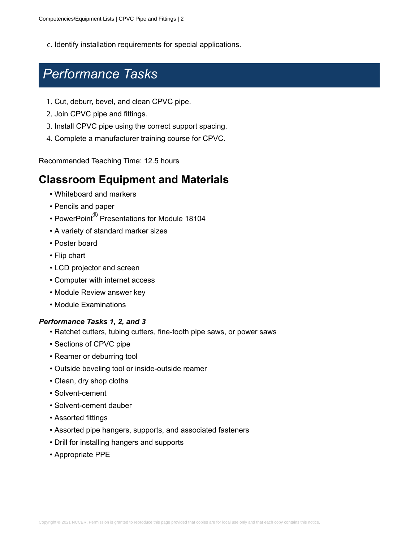c. Identify installation requirements for special applications.

### *Performance Tasks*

- 1. Cut, deburr, bevel, and clean CPVC pipe.
- 2. Join CPVC pipe and fittings.
- 3. Install CPVC pipe using the correct support spacing.
- 4. Complete a manufacturer training course for CPVC.

Recommended Teaching Time: 12.5 hours

### **Classroom Equipment and Materials**

- Whiteboard and markers
- Pencils and paper
- PowerPoint® Presentations for Module 18104
- A variety of standard marker sizes
- Poster board
- Flip chart
- LCD projector and screen
- Computer with internet access
- Module Review answer key
- Module Examinations

### *Performance Tasks 1, 2, and 3*

- Ratchet cutters, tubing cutters, fine-tooth pipe saws, or power saws
- Sections of CPVC pipe
- Reamer or deburring tool
- Outside beveling tool or inside-outside reamer
- Clean, dry shop cloths
- Solvent-cement
- Solvent-cement dauber
- Assorted fittings
- Assorted pipe hangers, supports, and associated fasteners
- Drill for installing hangers and supports
- Appropriate PPE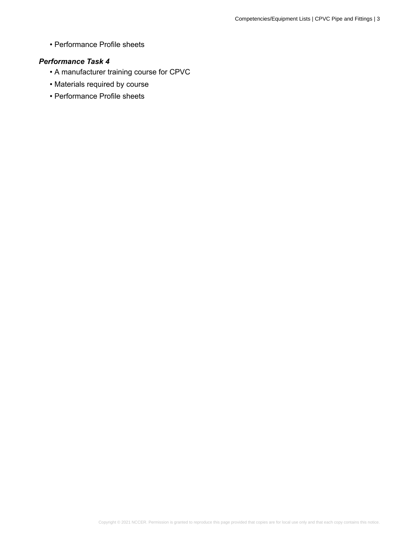• Performance Profile sheets

- A manufacturer training course for CPVC
- Materials required by course
- Performance Profile sheets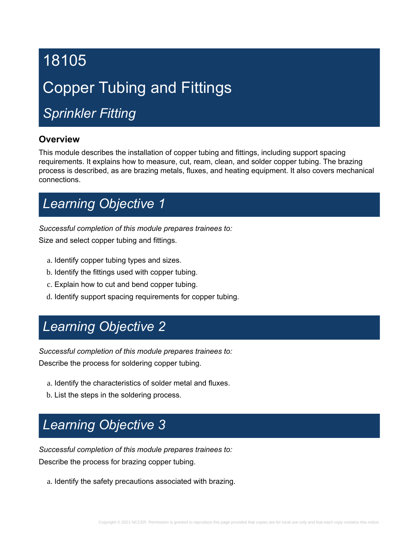# 18105

# Copper Tubing and Fittings

# *Sprinkler Fitting*

### **Overview**

This module describes the installation of copper tubing and fittings, including support spacing requirements. It explains how to measure, cut, ream, clean, and solder copper tubing. The brazing process is described, as are brazing metals, fluxes, and heating equipment. It also covers mechanical connections.

# *Learning Objective 1*

*Successful completion of this module prepares trainees to:*

Size and select copper tubing and fittings.

- a. Identify copper tubing types and sizes.
- b. Identify the fittings used with copper tubing.
- c. Explain how to cut and bend copper tubing.
- d. Identify support spacing requirements for copper tubing.

# *Learning Objective 2*

*Successful completion of this module prepares trainees to:* Describe the process for soldering copper tubing.

- a. Identify the characteristics of solder metal and fluxes.
- b. List the steps in the soldering process.

# *Learning Objective 3*

*Successful completion of this module prepares trainees to:* Describe the process for brazing copper tubing.

a. Identify the safety precautions associated with brazing.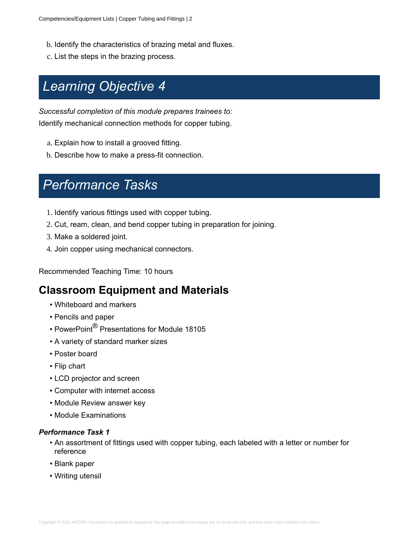- b. Identify the characteristics of brazing metal and fluxes.
- c. List the steps in the brazing process.

# *Learning Objective 4*

*Successful completion of this module prepares trainees to:* Identify mechanical connection methods for copper tubing.

- a. Explain how to install a grooved fitting.
- b. Describe how to make a press-fit connection.

# *Performance Tasks*

- 1. Identify various fittings used with copper tubing.
- 2. Cut, ream, clean, and bend copper tubing in preparation for joining.
- 3. Make a soldered joint.
- 4. Join copper using mechanical connectors.

Recommended Teaching Time: 10 hours

### **Classroom Equipment and Materials**

- Whiteboard and markers
- Pencils and paper
- PowerPoint® Presentations for Module 18105
- A variety of standard marker sizes
- Poster board
- Flip chart
- LCD projector and screen
- Computer with internet access
- Module Review answer key
- Module Examinations

- An assortment of fittings used with copper tubing, each labeled with a letter or number for reference
- Blank paper
- Writing utensil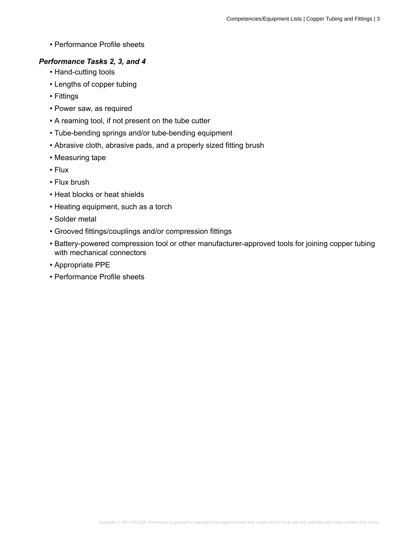• Performance Profile sheets

#### *Performance Tasks 2, 3, and 4*

- Hand-cutting tools
- Lengths of copper tubing
- Fittings
- Power saw, as required
- A reaming tool, if not present on the tube cutter
- Tube-bending springs and/or tube-bending equipment
- Abrasive cloth, abrasive pads, and a properly sized fitting brush
- Measuring tape
- Flux
- Flux brush
- Heat blocks or heat shields
- Heating equipment, such as a torch
- Solder metal
- Grooved fittings/couplings and/or compression fittings
- Battery-powered compression tool or other manufacturer-approved tools for joining copper tubing with mechanical connectors
- Appropriate PPE
- Performance Profile sheets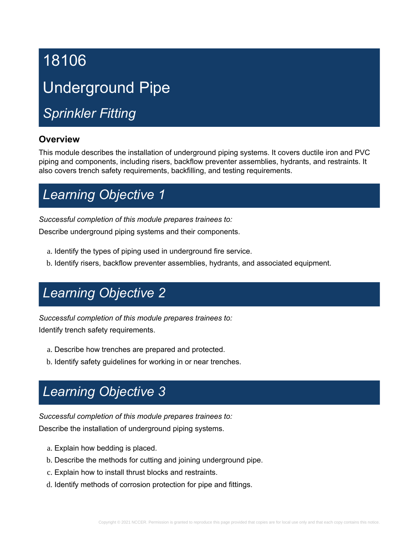# 18106 Underground Pipe

# *Sprinkler Fitting*

### **Overview**

This module describes the installation of underground piping systems. It covers ductile iron and PVC piping and components, including risers, backflow preventer assemblies, hydrants, and restraints. It also covers trench safety requirements, backfilling, and testing requirements.

# *Learning Objective 1*

*Successful completion of this module prepares trainees to:*

Describe underground piping systems and their components.

- a. Identify the types of piping used in underground fire service.
- b. Identify risers, backflow preventer assemblies, hydrants, and associated equipment.

# *Learning Objective 2*

*Successful completion of this module prepares trainees to:* Identify trench safety requirements.

- a. Describe how trenches are prepared and protected.
- b. Identify safety guidelines for working in or near trenches.

# *Learning Objective 3*

*Successful completion of this module prepares trainees to:* Describe the installation of underground piping systems.

- a. Explain how bedding is placed.
- b. Describe the methods for cutting and joining underground pipe.
- c. Explain how to install thrust blocks and restraints.
- d. Identify methods of corrosion protection for pipe and fittings.